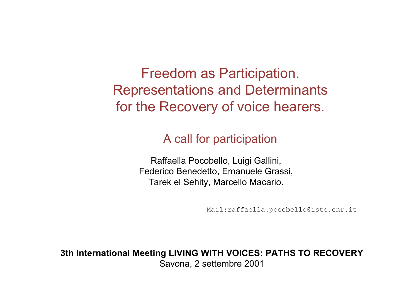Freedom as Participation. Representations and Determinants for the Recovery of voice hearers.

#### A call for participation

Raffaella Pocobello, Luigi Gallini, Federico Benedetto, Emanuele Grassi, Tarek el Sehity, Marcello Macario.

Mail:raffaella.pocobello@istc.cnr.it

**3th International Meeting LIVING WITH VOICES: PATHS TO RECOVERY** Savona, 2 settembre 2001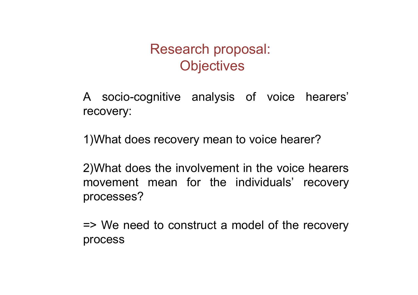#### Research proposal: **Objectives**

A socio-cognitive analysis of voice hearers' recovery:

1)What does recovery mean to voice hearer?

2)What does the involvement in the voice hearers movement mean for the individuals' recovery processes?

=> We need to construct a model of the recovery process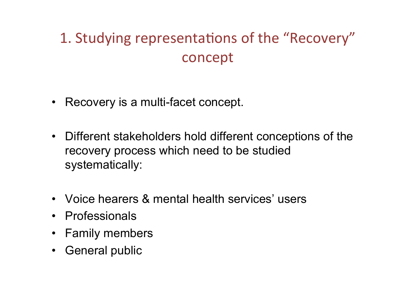### 1. Studying representations of the "Recovery" concept

- Recovery is a multi-facet concept.
- Different stakeholders hold different conceptions of the recovery process which need to be studied systematically:
- Voice hearers & mental health services' users
- Professionals
- Family members
- General public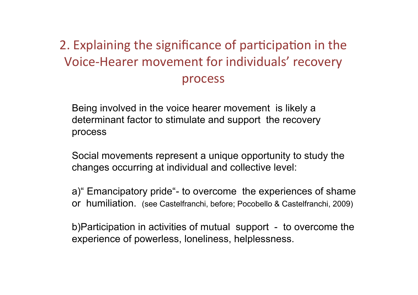#### 2. Explaining the significance of participation in the Voice-Hearer movement for individuals' recovery process

Being involved in the voice hearer movement is likely a determinant factor to stimulate and support the recovery process

Social movements represent a unique opportunity to study the changes occurring at individual and collective level:

a)" Emancipatory pride"- to overcome the experiences of shame or humiliation. (see Castelfranchi, before; Pocobello & Castelfranchi, 2009)

b)Participation in activities of mutual support - to overcome the experience of powerless, loneliness, helplessness.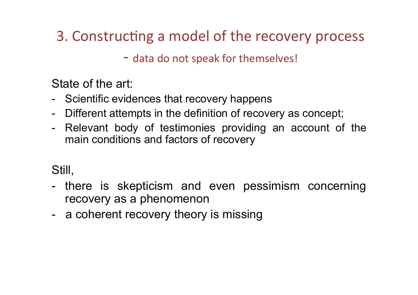### 3. Constructing a model of the recovery process

- data do not speak for themselves!

State of the art:

- Scientific evidences that recovery happens
- Different attempts in the definition of recovery as concept;
- Relevant body of testimonies providing an account of the main conditions and factors of recovery

#### Still,

- there is skepticism and even pessimism concerning recovery as a phenomenon
- a coherent recovery theory is missing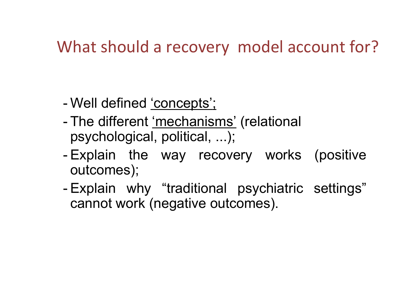### What should a recovery model account for?

- Well defined 'concepts';
- The different 'mechanisms' (relational psychological, political, ...);
- Explain the way recovery works (positive outcomes);
- Explain why "traditional psychiatric settings" cannot work (negative outcomes).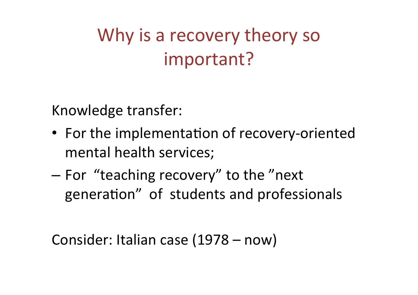# Why is a recovery theory so important?

Knowledge transfer:

- For the implementation of recovery-oriented mental health services;
- $-$  For "teaching recovery" to the "next" generation" of students and professionals

```
Consider: Italian case (1978 – now)
```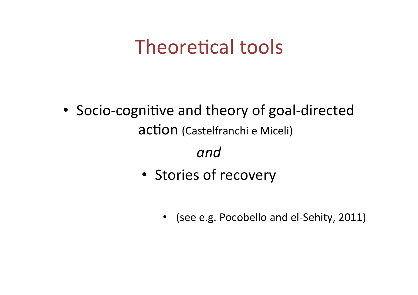# Theoretical tools

• Socio-cognitive and theory of goal-directed action (Castelfranchi e Miceli)

#### *and*

- Stories of recovery
	- (see e.g. Pocobello and el-Sehity, 2011)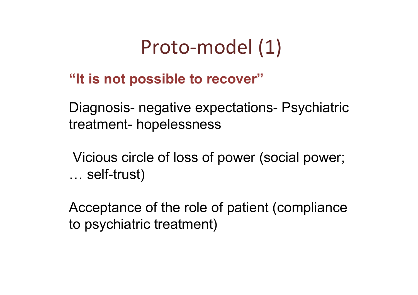## Proto-model (1)

#### **"It is not possible to recover"**

Diagnosis- negative expectations- Psychiatric treatment- hopelessness

 Vicious circle of loss of power (social power; … self-trust)

Acceptance of the role of patient (compliance to psychiatric treatment)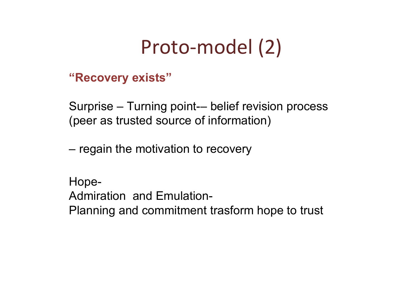## Proto-model (2)

#### **"Recovery exists"**

Surprise – Turning point-– belief revision process (peer as trusted source of information)

– regain the motivation to recovery

Hope-Admiration and Emulation-Planning and commitment trasform hope to trust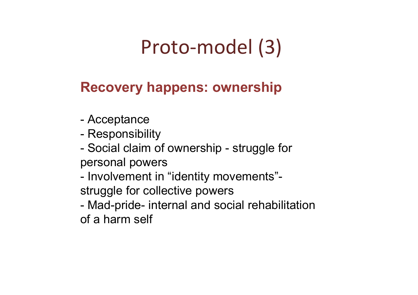# Proto-model (3)

#### **Recovery happens: ownership**

- Acceptance
- Responsibility
- Social claim of ownership struggle for personal powers
- Involvement in "identity movements" struggle for collective powers
- Mad-pride- internal and social rehabilitation of a harm self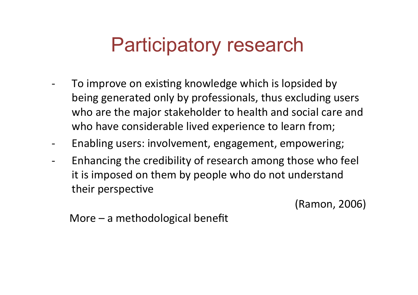## Participatory research

- To improve on existing knowledge which is lopsided by being generated only by professionals, thus excluding users who are the major stakeholder to health and social care and who have considerable lived experience to learn from;
- Enabling users: involvement, engagement, empowering;
- Enhancing the credibility of research among those who feel it is imposed on them by people who do not understand their perspective

(Ramon,#2006)

More – a methodological benefit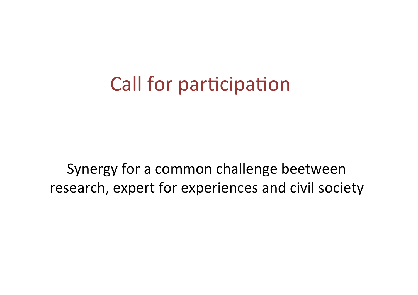## Call for participation

Synergy for a common challenge beetween research, expert for experiences and civil society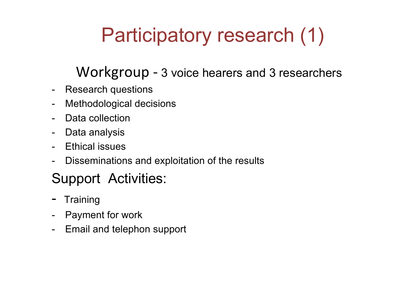# Participatory research (1)

#### Workgroup - 3 voice hearers and 3 researchers

- Research questions
- Methodological decisions
- Data collection
- Data analysis
- Ethical issues
- Disseminations and exploitation of the results

### Support Activities:

- Training
- Payment for work
- Email and telephon support